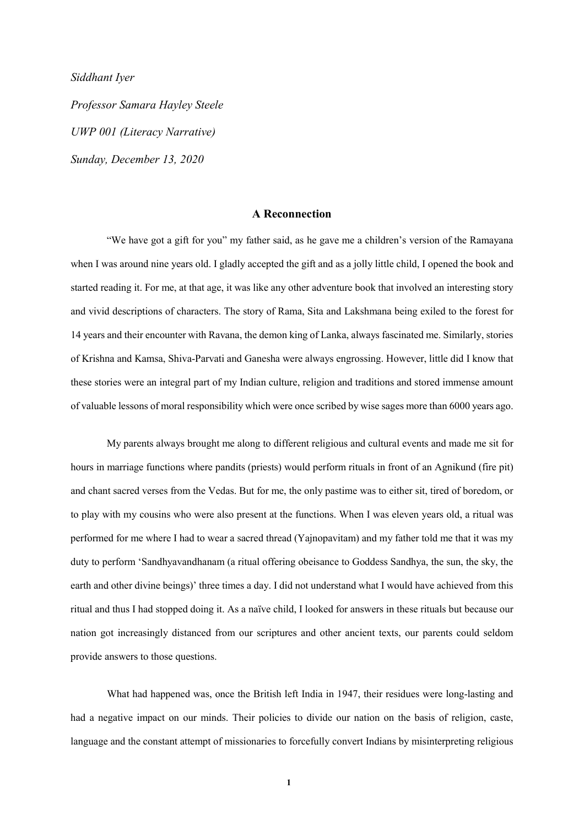*Siddhant Iyer* 

*Professor Samara Hayley Steele UWP 001 (Literacy Narrative) Sunday, December 13, 2020*

## **A Reconnection**

 "We have got a gift for you" my father said, as he gave me a children's version of the Ramayana when I was around nine years old. I gladly accepted the gift and as a jolly little child, I opened the book and started reading it. For me, at that age, it was like any other adventure book that involved an interesting story and vivid descriptions of characters. The story of Rama, Sita and Lakshmana being exiled to the forest for 14 years and their encounter with Ravana, the demon king of Lanka, always fascinated me. Similarly, stories of Krishna and Kamsa, Shiva-Parvati and Ganesha were always engrossing. However, little did I know that these stories were an integral part of my Indian culture, religion and traditions and stored immense amount of valuable lessons of moral responsibility which were once scribed by wise sages more than 6000 years ago.

 My parents always brought me along to different religious and cultural events and made me sit for hours in marriage functions where pandits (priests) would perform rituals in front of an Agnikund (fire pit) and chant sacred verses from the Vedas. But for me, the only pastime was to either sit, tired of boredom, or to play with my cousins who were also present at the functions. When I was eleven years old, a ritual was performed for me where I had to wear a sacred thread (Yajnopavitam) and my father told me that it was my duty to perform 'Sandhyavandhanam (a ritual offering obeisance to Goddess Sandhya, the sun, the sky, the earth and other divine beings)' three times a day. I did not understand what I would have achieved from this ritual and thus I had stopped doing it. As a naïve child, I looked for answers in these rituals but because our nation got increasingly distanced from our scriptures and other ancient texts, our parents could seldom provide answers to those questions.

What had happened was, once the British left India in 1947, their residues were long-lasting and had a negative impact on our minds. Their policies to divide our nation on the basis of religion, caste, language and the constant attempt of missionaries to forcefully convert Indians by misinterpreting religious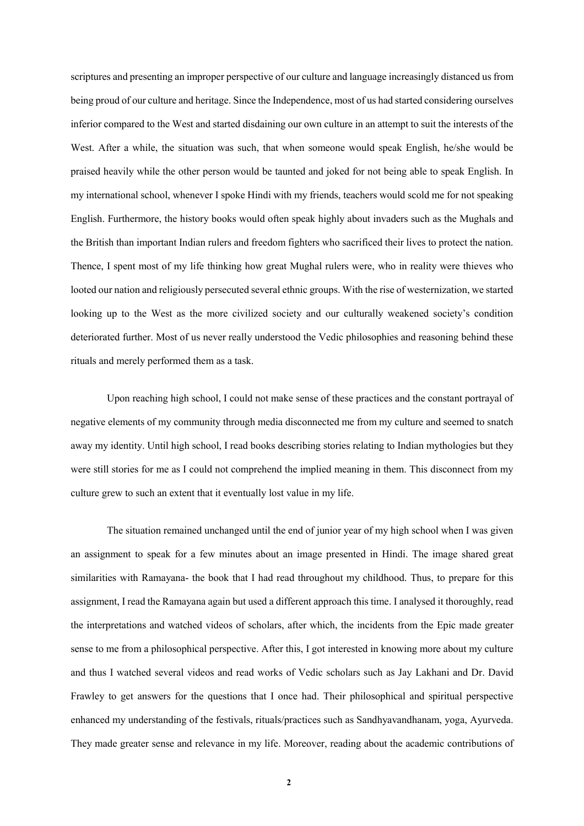scriptures and presenting an improper perspective of our culture and language increasingly distanced us from being proud of our culture and heritage. Since the Independence, most of us had started considering ourselves inferior compared to the West and started disdaining our own culture in an attempt to suit the interests of the West. After a while, the situation was such, that when someone would speak English, he/she would be praised heavily while the other person would be taunted and joked for not being able to speak English. In my international school, whenever I spoke Hindi with my friends, teachers would scold me for not speaking English. Furthermore, the history books would often speak highly about invaders such as the Mughals and the British than important Indian rulers and freedom fighters who sacrificed their lives to protect the nation. Thence, I spent most of my life thinking how great Mughal rulers were, who in reality were thieves who looted our nation and religiously persecuted several ethnic groups. With the rise of westernization, we started looking up to the West as the more civilized society and our culturally weakened society's condition deteriorated further. Most of us never really understood the Vedic philosophies and reasoning behind these rituals and merely performed them as a task.

Upon reaching high school, I could not make sense of these practices and the constant portrayal of negative elements of my community through media disconnected me from my culture and seemed to snatch away my identity. Until high school, I read books describing stories relating to Indian mythologies but they were still stories for me as I could not comprehend the implied meaning in them. This disconnect from my culture grew to such an extent that it eventually lost value in my life.

The situation remained unchanged until the end of junior year of my high school when I was given an assignment to speak for a few minutes about an image presented in Hindi. The image shared great similarities with Ramayana- the book that I had read throughout my childhood. Thus, to prepare for this assignment, I read the Ramayana again but used a different approach this time. I analysed it thoroughly, read the interpretations and watched videos of scholars, after which, the incidents from the Epic made greater sense to me from a philosophical perspective. After this, I got interested in knowing more about my culture and thus I watched several videos and read works of Vedic scholars such as Jay Lakhani and Dr. David Frawley to get answers for the questions that I once had. Their philosophical and spiritual perspective enhanced my understanding of the festivals, rituals/practices such as Sandhyavandhanam, yoga, Ayurveda. They made greater sense and relevance in my life. Moreover, reading about the academic contributions of